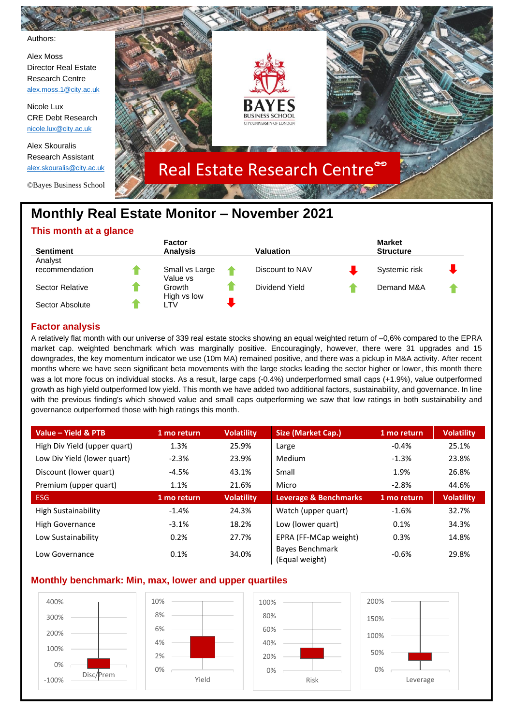

# **Monthly Real Estate Monitor – November 2021**

## **This month at a glance**

| <b>Sentiment</b> | <b>Factor</b><br><b>Analysis</b> | Valuation       | <b>Market</b><br><b>Structure</b> |  |
|------------------|----------------------------------|-----------------|-----------------------------------|--|
| Analyst          |                                  |                 |                                   |  |
| recommendation   | Small vs Large<br>Value vs       | Discount to NAV | Systemic risk                     |  |
| Sector Relative  | Growth<br>High vs low            | Dividend Yield  | Demand M&A                        |  |
| Sector Absolute  | TV                               |                 |                                   |  |

## **Factor analysis**

A relatively flat month with our universe of 339 real estate stocks showing an equal weighted return of –0,6% compared to the EPRA market cap. weighted benchmark which was marginally positive. Encouragingly, however, there were 31 upgrades and 15 downgrades, the key momentum indicator we use (10m MA) remained positive, and there was a pickup in M&A activity. After recent months where we have seen significant beta movements with the large stocks leading the sector higher or lower, this month there was a lot more focus on individual stocks. As a result, large caps (-0.4%) underperformed small caps (+1.9%), value outperformed growth as high yield outperformed low yield. This month we have added two additional factors, sustainability, and governance. In line with the previous finding's which showed value and small caps outperforming we saw that low ratings in both sustainability and governance outperformed those with high ratings this month.

| Value - Yield & PTB          | 1 mo return | <b>Volatility</b> | Size (Market Cap.)                | 1 mo return | <b>Volatility</b> |
|------------------------------|-------------|-------------------|-----------------------------------|-------------|-------------------|
| High Div Yield (upper quart) | 1.3%        | 25.9%             | Large                             | $-0.4%$     | 25.1%             |
| Low Div Yield (lower quart)  | $-2.3%$     | 23.9%             | Medium                            | $-1.3%$     | 23.8%             |
| Discount (lower quart)       | $-4.5%$     | 43.1%             | Small                             | 1.9%        | 26.8%             |
| Premium (upper quart)        | 1.1%        | 21.6%             | Micro                             | $-2.8%$     | 44.6%             |
| <b>ESG</b>                   | 1 mo return | <b>Volatility</b> | Leverage & Benchmarks             | 1 mo return | <b>Volatility</b> |
| High Sustainability          | $-1.4%$     | 24.3%             | Watch (upper quart)               | $-1.6%$     | 32.7%             |
| High Governance              | $-3.1%$     | 18.2%             | Low (lower quart)                 | 0.1%        | 34.3%             |
| Low Sustainability           | 0.2%        | 27.7%             | EPRA (FF-MCap weight)             | 0.3%        | 14.8%             |
| Low Governance               | 0.1%        | 34.0%             | Bayes Benchmark<br>(Equal weight) | $-0.6%$     | 29.8%             |

## **Monthly benchmark: Min, max, lower and upper quartiles**

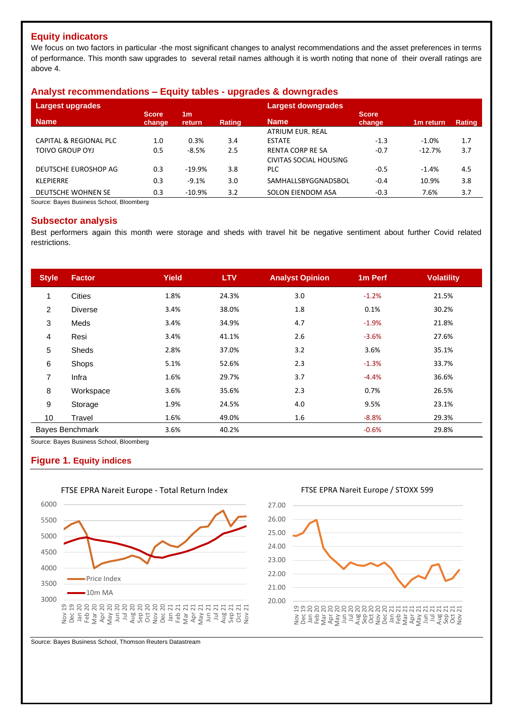## **Equity indicators**

We focus on two factors in particular -the most significant changes to analyst recommendations and the asset preferences in terms of performance. This month saw upgrades to several retail names although it is worth noting that none of their overall ratings are above 4.

## **Analyst recommendations – Equity tables - upgrades & downgrades**

| <b>Largest upgrades</b>           |                        |                          |               | <b>Largest downgrades</b> |                        |                       |        |  |  |  |
|-----------------------------------|------------------------|--------------------------|---------------|---------------------------|------------------------|-----------------------|--------|--|--|--|
| <b>Name</b>                       | <b>Score</b><br>change | 1 <sub>m</sub><br>return | <b>Rating</b> | <b>Name</b>               | <b>Score</b><br>change | 1 <sub>m</sub> return | Rating |  |  |  |
|                                   |                        |                          |               | <b>ATRIUM EUR. REAL</b>   |                        |                       |        |  |  |  |
| <b>CAPITAL &amp; REGIONAL PLC</b> | 1.0                    | 0.3%                     | 3.4           | <b>ESTATE</b>             | $-1.3$                 | $-1.0%$               | 1.7    |  |  |  |
| TOIVO GROUP OYJ                   | 0.5                    | $-8.5%$                  | 2.5           | <b>RENTA CORP RE SA</b>   | $-0.7$                 | $-12.7%$              | 3.7    |  |  |  |
|                                   |                        |                          |               | CIVITAS SOCIAL HOUSING    |                        |                       |        |  |  |  |
| DEUTSCHE EUROSHOP AG              | 0.3                    | $-19.9%$                 | 3.8           | <b>PLC</b>                | $-0.5$                 | $-1.4%$               | 4.5    |  |  |  |
| <b>KLEPIERRE</b>                  | 0.3                    | $-9.1%$                  | 3.0           | SAMHALLSBYGGNADSBOL       | $-0.4$                 | 10.9%                 | 3.8    |  |  |  |
| <b>DEUTSCHE WOHNEN SE</b>         | 0.3                    | $-10.9%$                 | 3.2           | SOLON EIENDOM ASA         | $-0.3$                 | 7.6%                  | 3.7    |  |  |  |

Source: Bayes Business School, Bloomberg

## **Subsector analysis**

Best performers again this month were storage and sheds with travel hit be negative sentiment about further Covid related restrictions.

| <b>Style</b>   | <b>Factor</b>   | <b>Yield</b> | <b>LTV</b> | <b>Analyst Opinion</b> | 1 <sub>m</sub> Perf | <b>Volatility</b> |
|----------------|-----------------|--------------|------------|------------------------|---------------------|-------------------|
|                | <b>Cities</b>   | 1.8%         | 24.3%      | 3.0                    | $-1.2%$             | 21.5%             |
| $\overline{2}$ | <b>Diverse</b>  | 3.4%         | 38.0%      | 1.8                    | 0.1%                | 30.2%             |
| 3              | Meds            | 3.4%         | 34.9%      | 4.7                    | $-1.9%$             | 21.8%             |
| 4              | Resi            | 3.4%         | 41.1%      | 2.6                    | $-3.6%$             | 27.6%             |
| 5              | Sheds           | 2.8%         | 37.0%      | 3.2                    | 3.6%                | 35.1%             |
| 6              | Shops           | 5.1%         | 52.6%      | 2.3                    | $-1.3%$             | 33.7%             |
| 7              | Infra           | 1.6%         | 29.7%      | 3.7                    | $-4.4%$             | 36.6%             |
| 8              | Workspace       | 3.6%         | 35.6%      | 2.3                    | 0.7%                | 26.5%             |
| 9              | Storage         | 1.9%         | 24.5%      | 4.0                    | 9.5%                | 23.1%             |
| 10             | Travel          | 1.6%         | 49.0%      | 1.6                    | $-8.8%$             | 29.3%             |
|                | Bayes Benchmark | 3.6%         | 40.2%      |                        | $-0.6%$             | 29.8%             |

Source: Bayes Business School, Bloomberg

## **Figure 1. Equity indices**



FTSE EPRA Nareit Europe - Total Return Index



FTSE EPRA Nareit Europe / STOXX 599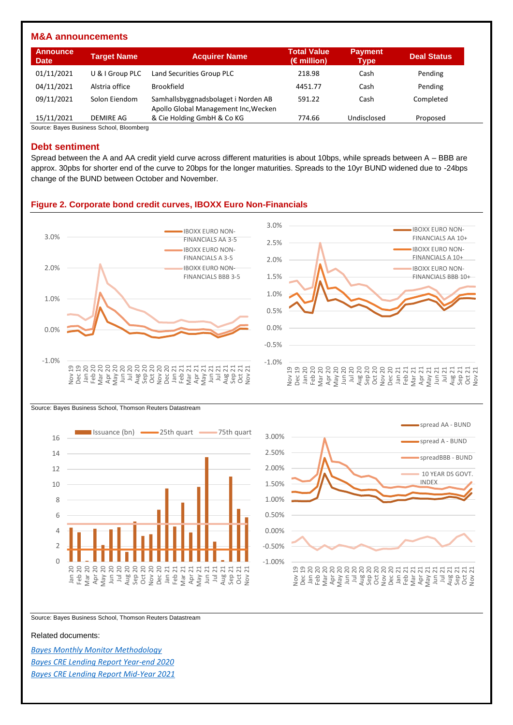#### **M&A announcements**

| <b>Announce</b><br><b>Date</b> | <b>Target Name</b> | <b>Acquirer Name</b>                                                        | <b>Total Value</b><br>$(E \text{ million})$ | <b>Payment</b><br>Type | <b>Deal Status</b> |
|--------------------------------|--------------------|-----------------------------------------------------------------------------|---------------------------------------------|------------------------|--------------------|
| 01/11/2021                     | U & I Group PLC    | Land Securities Group PLC                                                   | 218.98                                      | Cash                   | Pending            |
| 04/11/2021                     | Alstria office     | <b>Brookfield</b>                                                           | 4451.77                                     | Cash                   | Pending            |
| 09/11/2021                     | Solon Eiendom      | Samhallsbyggnadsbolaget i Norden AB<br>Apollo Global Management Inc, Wecken | 591.22                                      | Cash                   | Completed          |
| 15/11/2021                     | DEMIRE AG          | & Cie Holding GmbH & Co KG                                                  | 774.66                                      | Undisclosed            | Proposed           |

Source: Bayes Business School, Bloomberg

#### **Debt sentiment**

Spread between the A and AA credit yield curve across different maturities is about 10bps, while spreads between A – BBB are approx. 30pbs for shorter end of the curve to 20bps for the longer maturities. Spreads to the 10yr BUND widened due to -24bps change of the BUND between October and November.

#### **Figure 2. Corporate bond credit curves, IBOXX Euro Non-Financials**



Source: Bayes Business School, Thomson Reuters Datastream





Source: Bayes Business School, Thomson Reuters Datastream

Related documents:

*[Bayes Monthly Monitor Methodology](https://www.bayes.city.ac.uk/__data/assets/pdf_file/0006/641157/bayes-market-monitor-methodology-document.pdf) [Bayes CRE Lending Report Year-end 2020](https://estore.city.ac.uk/product-catalogue/publications/publications/the-commercial-real-estate-lending-report-excel-data-package-yearend-2020) [Bayes CRE Lending Report Mid-Year 2021](https://estore.city.ac.uk/product-catalogue/publications/publications/the-commercial-real-estate-lending-report-excel-data-package-midyear-2021)*